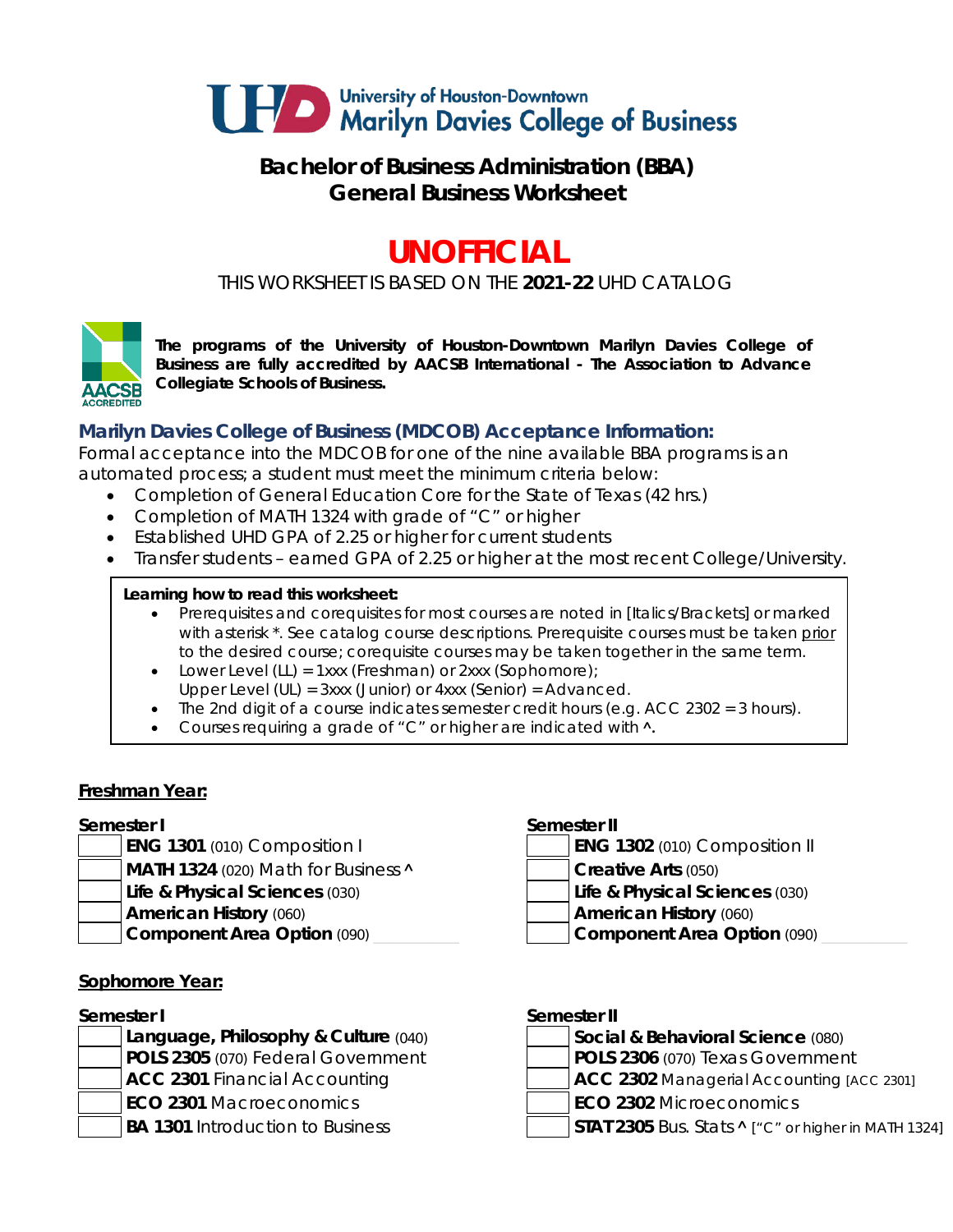

# **Bachelor of Business Administration (BBA) General Business Worksheet**

# **UNOFFICIAL**

*THIS WORKSHEET IS BASED ON THE 2021-22 UHD CATALOG*



*The programs of the University of Houston-Downtown Marilyn Davies College of Business are fully accredited by AACSB International - The Association to Advance Collegiate Schools of Business.*

# **Marilyn Davies College of Business (MDCOB) Acceptance Information:**

Formal acceptance into the MDCOB for one of the nine available BBA programs is an automated process; a student must meet the minimum criteria below:

- Completion of General Education Core for the State of Texas (42 hrs.)
- Completion of MATH 1324 with grade of "C" or higher
- Established UHD GPA of 2.25 or higher for current students
- Transfer students earned GPA of 2.25 or higher at the most recent College/University.

#### **Learning how to read this worksheet:**

- Prerequisites and corequisites for most courses are noted in *[Italics/Brackets]* or marked with asterisk \*. See catalog course descriptions. Prerequisite courses must be taken prior to the desired course; corequisite courses may be taken together in the same term.
- Lower Level (LL) = 1xxx (Freshman) or 2xxx (Sophomore);
- Upper Level (UL) = 3xxx (Junior) or 4xxx (Senior) = Advanced.
- The 2nd digit of a course indicates semester credit hours (e.g.  $ACC$  2302 = 3 hours).
- Courses requiring a grade of "C" or higher are indicated with **˄.**

#### **Freshman Year:**

- **ENG 1301** (010) Composition I
- **MATH 1324** (020) Math for Business **A Creative Arts** (050)
	-
- -

#### **Sophomore Year:**

#### **Semester I Semester II**

| Language, Philosophy & Culture (040)    | Social & Behavioral Science (080)        |
|-----------------------------------------|------------------------------------------|
| POLS 2305 (070) Federal Government      | POLS 2306 (070) Texas Government         |
| ACC 2301 Financial Accounting           | ACC 2302 Managerial Accounting [A        |
| <b>ECO 2301 Macroeconomics</b>          | <b>ECO 2302 Microeconomics</b>           |
| <b>BA 1301</b> Introduction to Business | STAT 2305 Bus. Stats ^ ["C" or higher in |

### **Semester I Semester II**

|  |  | <b>ENG 1302</b> (010) Composition II |  |
|--|--|--------------------------------------|--|
|--|--|--------------------------------------|--|

- **Life & Physical Sciences** (030) **Life & Physical Sciences** (030)
- **American History** (060) **American History** (060)
- **Component Area Option** (090) **Later Component Area Option** (090)

| Semester I |                                         | Semester II |                                                            |  |
|------------|-----------------------------------------|-------------|------------------------------------------------------------|--|
|            | Language, Philosophy & Culture (040)    |             | Social & Behavioral Science (080)                          |  |
|            | POLS 2305 (070) Federal Government      |             | POLS 2306 (070) Texas Government                           |  |
|            | ACC 2301 Financial Accounting           |             | ACC 2302 Managerial Accounting [ACC 2301]                  |  |
|            | <b>ECO 2301 Macroeconomics</b>          |             | <b>ECO 2302 Microeconomics</b>                             |  |
|            | <b>BA 1301</b> Introduction to Business |             | STAT 2305 Bus. Stats $\wedge$ ["C" or higher in MATH 1324] |  |
|            |                                         |             |                                                            |  |